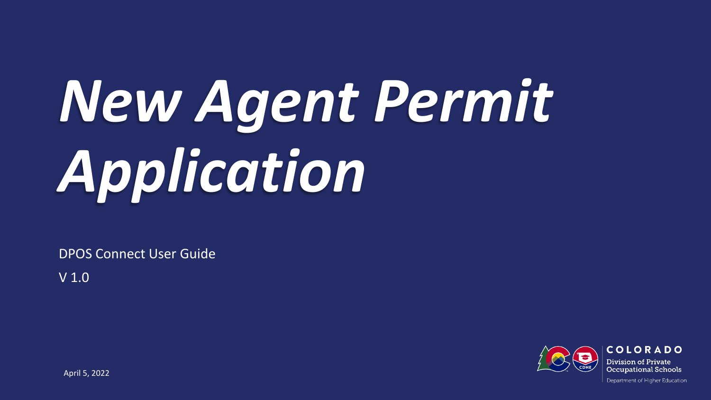# *New Agent Permit Application*

DPOS Connect User Guide

V 1.0

**COLORADO** Division of Private **Occupational Schools** 

April 5, 2022

Department of Higher Education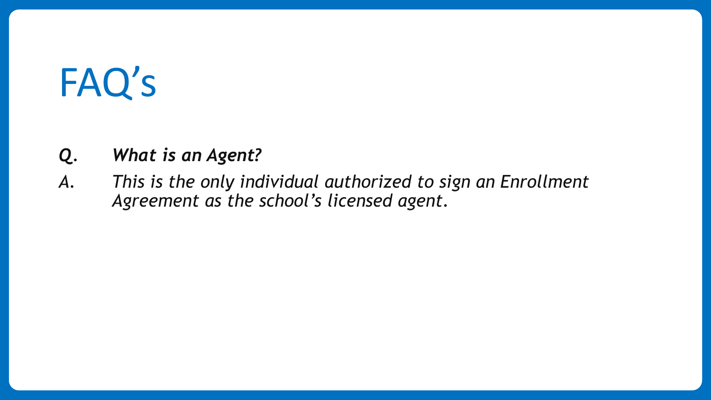# FAQ's

#### *Q. What is an Agent?*

*A. This is the only individual authorized to sign an Enrollment Agreement as the school's licensed agent.*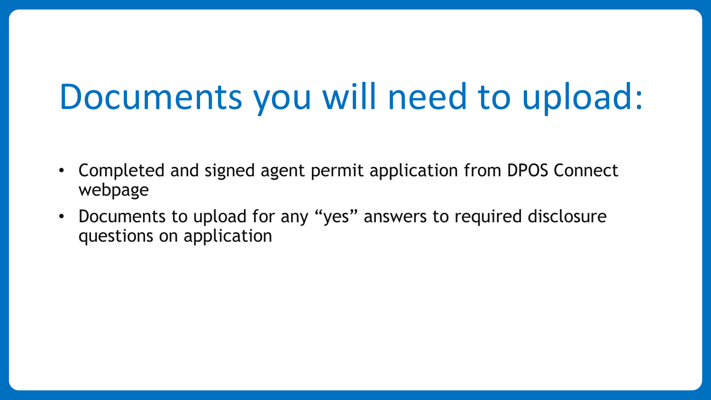# Documents you will need to upload:

- Completed and signed agent permit application from DPOS Connect webpage
- Documents to upload for any "yes" answers to required disclosure questions on application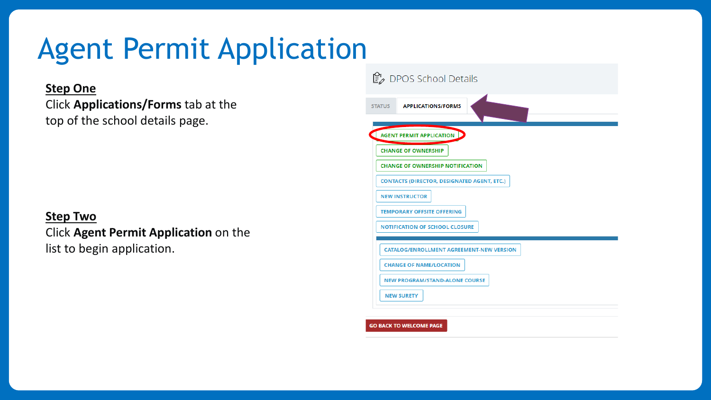# Agent Permit Application

#### **Step One**

Click **Applications/Forms** tab at the top of the school details page.

#### **Step Two**

#### Click **Agent Permit Application** on the list to begin application.

| ■ DPOS School Details                              |
|----------------------------------------------------|
| <b>APPLICATIONS/FORMS</b><br><b>STATUS</b>         |
| <b>AGENT PERMIT APPLICATION</b>                    |
| <b>CHANGE OF OWNERSHIP</b>                         |
| <b>CHANGE OF OWNERSHIP NOTIFICATION</b>            |
| <b>CONTACTS (DIRECTOR, DESIGNATED AGENT, ETC.)</b> |
| <b>NEW INSTRUCTOR</b>                              |
| <b>TEMPORARY OFFSITE OFFERING</b>                  |
| <b>NOTIFICATION OF SCHOOL CLOSURE</b>              |
| <b>CATALOG/ENROLLMENT AGREEMENT-NEW VERSION</b>    |
| <b>CHANGE OF NAME/LOCATION</b>                     |
| <b>NEW PROGRAM/STAND-ALONE COURSE</b>              |
| <b>NEW SURETY</b>                                  |
|                                                    |

**GO BACK TO WELCOME PAGE**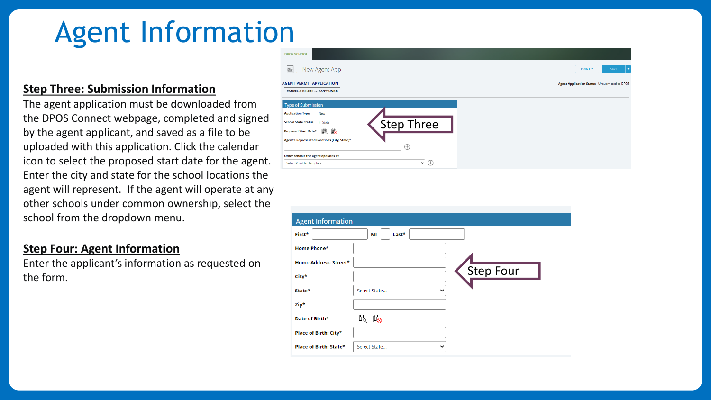# Agent Information

#### **Step Three: Submission Information**

The agent application must be downloaded from the DPOS Connect webpage, completed and signed by the agent applicant, and saved as a file to be uploaded with this application. Click the calendar icon to select the proposed start date for the agent. Enter the city and state for the school locations the agent will represent. If the agent will operate at any other schools under common ownership, select the school from the dropdown menu.

#### **Step Four: Agent Information**

Enter the applicant's information as requested on the form.



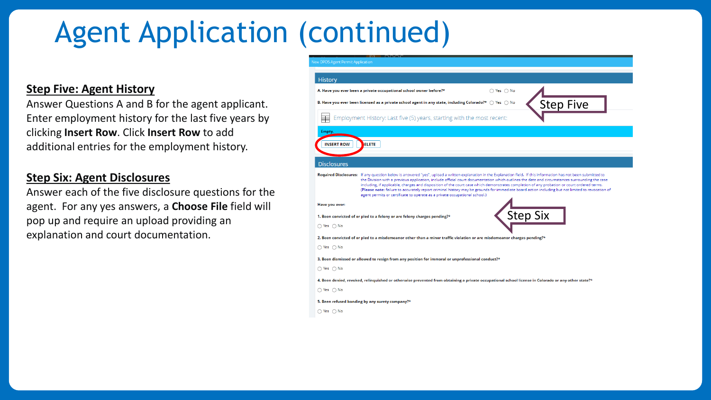# Agent Application (continued)

#### **Step Five: Agent History**

Answer Questions A and B for the agent applicant. Enter employment history for the last five years by clicking **Insert Row**. Click **Insert Row** to add additional entries for the employment history.

#### **Step Six: Agent Disclosures**

Answer each of the five disclosure questions for the agent. For any yes answers, a **Choose File** field will pop up and require an upload providing an explanation and court documentation.

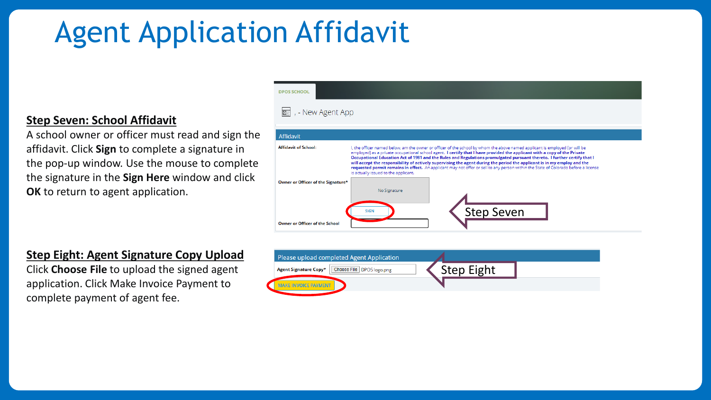# Agent Application Affidavit

#### **Step Seven: School Affidavit**

A school owner or officer must read and sign the affidavit. Click **Sign** to complete a signature in the pop-up window. Use the mouse to complete the signature in the **Sign Here** window and click **OK** to return to agent application.

#### **Step Eight: Agent Signature Copy Upload**

Click **Choose File** to upload the signed agent application. Click Make Invoice Payment to complete payment of agent fee.